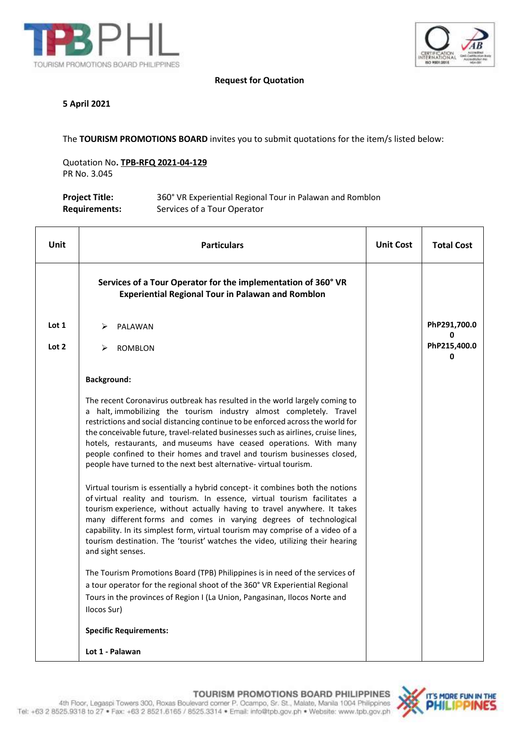



### **Request for Quotation**

#### **5 April 2021**

The **TOURISM PROMOTIONS BOARD** invites you to submit quotations for the item/s listed below:

Quotation No**. TPB-RFQ 2021-04-129** PR No. 3.045

| <b>Project Title:</b> | 360° VR Experiential Regional Tour in Palawan and Romblon |
|-----------------------|-----------------------------------------------------------|
| <b>Requirements:</b>  | Services of a Tour Operator                               |

| Unit  | <b>Particulars</b>                                                                                                                                                                                                                                                                                                                                                                                                                                                                                                                                                                                                                                                                                                                                                                                                                                                                                                                                                                                                                                                                                                                       | <b>Unit Cost</b> | <b>Total Cost</b> |
|-------|------------------------------------------------------------------------------------------------------------------------------------------------------------------------------------------------------------------------------------------------------------------------------------------------------------------------------------------------------------------------------------------------------------------------------------------------------------------------------------------------------------------------------------------------------------------------------------------------------------------------------------------------------------------------------------------------------------------------------------------------------------------------------------------------------------------------------------------------------------------------------------------------------------------------------------------------------------------------------------------------------------------------------------------------------------------------------------------------------------------------------------------|------------------|-------------------|
|       | Services of a Tour Operator for the implementation of 360° VR<br><b>Experiential Regional Tour in Palawan and Romblon</b>                                                                                                                                                                                                                                                                                                                                                                                                                                                                                                                                                                                                                                                                                                                                                                                                                                                                                                                                                                                                                |                  |                   |
| Lot 1 | ➤<br>PALAWAN                                                                                                                                                                                                                                                                                                                                                                                                                                                                                                                                                                                                                                                                                                                                                                                                                                                                                                                                                                                                                                                                                                                             |                  | PhP291,700.0      |
| Lot 2 | ➤<br><b>ROMBLON</b>                                                                                                                                                                                                                                                                                                                                                                                                                                                                                                                                                                                                                                                                                                                                                                                                                                                                                                                                                                                                                                                                                                                      |                  | PhP215,400.0<br>0 |
|       | <b>Background:</b>                                                                                                                                                                                                                                                                                                                                                                                                                                                                                                                                                                                                                                                                                                                                                                                                                                                                                                                                                                                                                                                                                                                       |                  |                   |
|       | The recent Coronavirus outbreak has resulted in the world largely coming to<br>a halt, immobilizing the tourism industry almost completely. Travel<br>restrictions and social distancing continue to be enforced across the world for<br>the conceivable future, travel-related businesses such as airlines, cruise lines,<br>hotels, restaurants, and museums have ceased operations. With many<br>people confined to their homes and travel and tourism businesses closed,<br>people have turned to the next best alternative-virtual tourism.<br>Virtual tourism is essentially a hybrid concept- it combines both the notions<br>of virtual reality and tourism. In essence, virtual tourism facilitates a<br>tourism experience, without actually having to travel anywhere. It takes<br>many different forms and comes in varying degrees of technological<br>capability. In its simplest form, virtual tourism may comprise of a video of a<br>tourism destination. The 'tourist' watches the video, utilizing their hearing<br>and sight senses.<br>The Tourism Promotions Board (TPB) Philippines is in need of the services of |                  |                   |
|       | a tour operator for the regional shoot of the 360° VR Experiential Regional<br>Tours in the provinces of Region I (La Union, Pangasinan, Ilocos Norte and<br>Ilocos Sur)                                                                                                                                                                                                                                                                                                                                                                                                                                                                                                                                                                                                                                                                                                                                                                                                                                                                                                                                                                 |                  |                   |
|       | <b>Specific Requirements:</b>                                                                                                                                                                                                                                                                                                                                                                                                                                                                                                                                                                                                                                                                                                                                                                                                                                                                                                                                                                                                                                                                                                            |                  |                   |
|       | Lot 1 - Palawan                                                                                                                                                                                                                                                                                                                                                                                                                                                                                                                                                                                                                                                                                                                                                                                                                                                                                                                                                                                                                                                                                                                          |                  |                   |

TOURISM PROMOTIONS BOARD PHILIPPINES

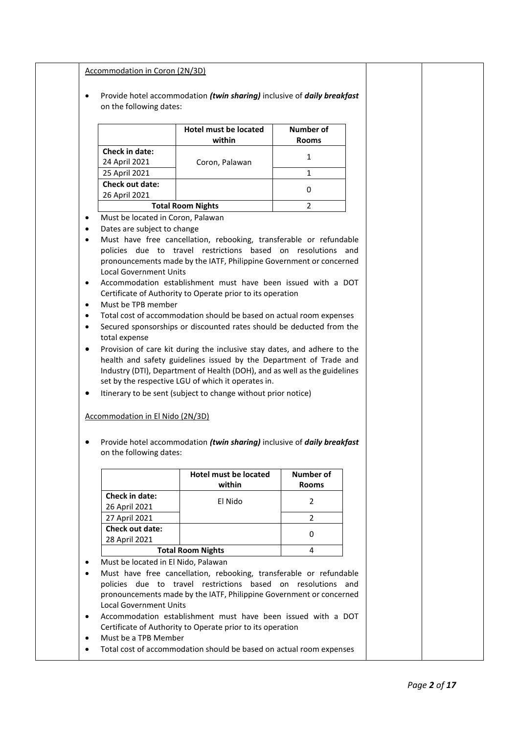|                                                  |                                                             | <b>Hotel must be located</b>                                                                                                                                                                                                                                                                                                                                                                                                  | <b>Number of</b>        |  |
|--------------------------------------------------|-------------------------------------------------------------|-------------------------------------------------------------------------------------------------------------------------------------------------------------------------------------------------------------------------------------------------------------------------------------------------------------------------------------------------------------------------------------------------------------------------------|-------------------------|--|
|                                                  |                                                             | within                                                                                                                                                                                                                                                                                                                                                                                                                        | <b>Rooms</b>            |  |
|                                                  | Check in date:<br>24 April 2021                             | Coron, Palawan                                                                                                                                                                                                                                                                                                                                                                                                                | $\mathbf{1}$            |  |
|                                                  | 25 April 2021                                               |                                                                                                                                                                                                                                                                                                                                                                                                                               | $\mathbf{1}$            |  |
|                                                  | <b>Check out date:</b>                                      |                                                                                                                                                                                                                                                                                                                                                                                                                               |                         |  |
|                                                  | 26 April 2021                                               |                                                                                                                                                                                                                                                                                                                                                                                                                               | 0                       |  |
|                                                  |                                                             | <b>Total Room Nights</b>                                                                                                                                                                                                                                                                                                                                                                                                      | $\overline{2}$          |  |
| $\bullet$                                        | Must be located in Coron, Palawan                           |                                                                                                                                                                                                                                                                                                                                                                                                                               |                         |  |
| $\bullet$                                        | Dates are subject to change                                 |                                                                                                                                                                                                                                                                                                                                                                                                                               |                         |  |
| $\bullet$<br>$\bullet$<br>$\bullet$<br>$\bullet$ | Must be TPB member<br>total expense                         | Total cost of accommodation should be based on actual room expenses<br>Secured sponsorships or discounted rates should be deducted from the                                                                                                                                                                                                                                                                                   |                         |  |
| ٠                                                | Accommodation in El Nido (2N/3D)<br>on the following dates: | Provision of care kit during the inclusive stay dates, and adhere to the<br>health and safety guidelines issued by the Department of Trade and<br>Industry (DTI), Department of Health (DOH), and as well as the guidelines<br>set by the respective LGU of which it operates in.<br>Itinerary to be sent (subject to change without prior notice)<br>Provide hotel accommodation (twin sharing) inclusive of daily breakfast |                         |  |
|                                                  |                                                             | <b>Hotel must be located</b>                                                                                                                                                                                                                                                                                                                                                                                                  | <b>Number of</b>        |  |
|                                                  | Check in date:                                              | within<br>El Nido                                                                                                                                                                                                                                                                                                                                                                                                             | Rooms<br>$\overline{2}$ |  |
|                                                  | 26 April 2021                                               |                                                                                                                                                                                                                                                                                                                                                                                                                               |                         |  |
|                                                  | 27 April 2021                                               |                                                                                                                                                                                                                                                                                                                                                                                                                               | $\overline{2}$          |  |
|                                                  | Check out date:                                             |                                                                                                                                                                                                                                                                                                                                                                                                                               | 0                       |  |
|                                                  | 28 April 2021                                               |                                                                                                                                                                                                                                                                                                                                                                                                                               |                         |  |
| $\bullet$                                        |                                                             | <b>Total Room Nights</b>                                                                                                                                                                                                                                                                                                                                                                                                      | 4                       |  |
| $\bullet$                                        | Must be located in El Nido, Palawan                         | Must have free cancellation, rebooking, transferable or refundable                                                                                                                                                                                                                                                                                                                                                            |                         |  |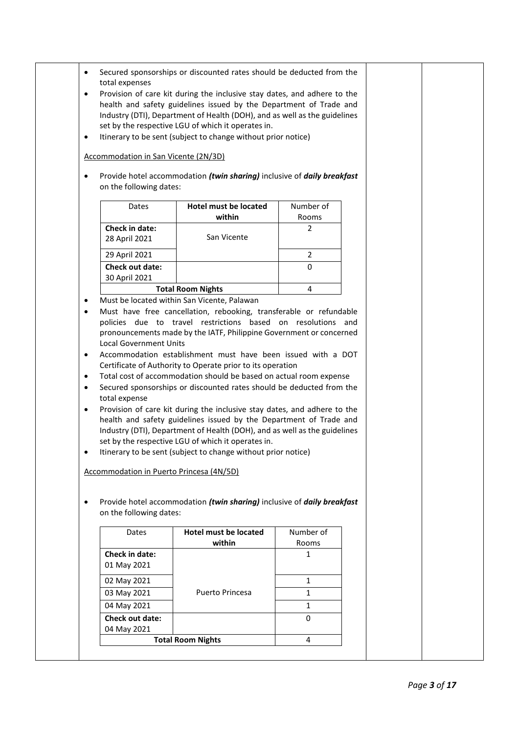|                                          |                                                | Industry (DTI), Department of Health (DOH), and as well as the guidelines                                                                                                                                                                                                                                                                                                                                                                                                                                                                                                                                                                                                         |              |  |
|------------------------------------------|------------------------------------------------|-----------------------------------------------------------------------------------------------------------------------------------------------------------------------------------------------------------------------------------------------------------------------------------------------------------------------------------------------------------------------------------------------------------------------------------------------------------------------------------------------------------------------------------------------------------------------------------------------------------------------------------------------------------------------------------|--------------|--|
| ٠                                        |                                                | set by the respective LGU of which it operates in.<br>Itinerary to be sent (subject to change without prior notice)                                                                                                                                                                                                                                                                                                                                                                                                                                                                                                                                                               |              |  |
|                                          |                                                |                                                                                                                                                                                                                                                                                                                                                                                                                                                                                                                                                                                                                                                                                   |              |  |
|                                          | Accommodation in San Vicente (2N/3D)           |                                                                                                                                                                                                                                                                                                                                                                                                                                                                                                                                                                                                                                                                                   |              |  |
| $\bullet$                                |                                                | Provide hotel accommodation (twin sharing) inclusive of daily breakfast                                                                                                                                                                                                                                                                                                                                                                                                                                                                                                                                                                                                           |              |  |
|                                          | on the following dates:                        |                                                                                                                                                                                                                                                                                                                                                                                                                                                                                                                                                                                                                                                                                   |              |  |
|                                          |                                                |                                                                                                                                                                                                                                                                                                                                                                                                                                                                                                                                                                                                                                                                                   |              |  |
|                                          | Dates                                          | <b>Hotel must be located</b>                                                                                                                                                                                                                                                                                                                                                                                                                                                                                                                                                                                                                                                      | Number of    |  |
|                                          |                                                | within                                                                                                                                                                                                                                                                                                                                                                                                                                                                                                                                                                                                                                                                            | Rooms        |  |
|                                          | Check in date:                                 | San Vicente                                                                                                                                                                                                                                                                                                                                                                                                                                                                                                                                                                                                                                                                       | 2            |  |
|                                          | 28 April 2021                                  |                                                                                                                                                                                                                                                                                                                                                                                                                                                                                                                                                                                                                                                                                   |              |  |
|                                          | 29 April 2021                                  |                                                                                                                                                                                                                                                                                                                                                                                                                                                                                                                                                                                                                                                                                   | 2            |  |
|                                          | <b>Check out date:</b><br>30 April 2021        |                                                                                                                                                                                                                                                                                                                                                                                                                                                                                                                                                                                                                                                                                   | $\Omega$     |  |
|                                          |                                                | <b>Total Room Nights</b>                                                                                                                                                                                                                                                                                                                                                                                                                                                                                                                                                                                                                                                          | 4            |  |
| ٠                                        |                                                | Must be located within San Vicente, Palawan                                                                                                                                                                                                                                                                                                                                                                                                                                                                                                                                                                                                                                       |              |  |
| $\bullet$<br>$\bullet$<br>$\bullet$<br>٠ | <b>Local Government Units</b><br>total expense | Accommodation establishment must have been issued with a DOT<br>Certificate of Authority to Operate prior to its operation<br>Total cost of accommodation should be based on actual room expense<br>Secured sponsorships or discounted rates should be deducted from the<br>Provision of care kit during the inclusive stay dates, and adhere to the<br>health and safety guidelines issued by the Department of Trade and<br>Industry (DTI), Department of Health (DOH), and as well as the guidelines<br>set by the respective LGU of which it operates in.<br>Itinerary to be sent (subject to change without prior notice)<br><b>Accommodation in Puerto Princesa (4N/5D)</b> |              |  |
|                                          |                                                | Provide hotel accommodation (twin sharing) inclusive of daily breakfast                                                                                                                                                                                                                                                                                                                                                                                                                                                                                                                                                                                                           |              |  |
|                                          | on the following dates:                        |                                                                                                                                                                                                                                                                                                                                                                                                                                                                                                                                                                                                                                                                                   |              |  |
|                                          | Dates                                          | <b>Hotel must be located</b>                                                                                                                                                                                                                                                                                                                                                                                                                                                                                                                                                                                                                                                      | Number of    |  |
|                                          |                                                | within                                                                                                                                                                                                                                                                                                                                                                                                                                                                                                                                                                                                                                                                            | Rooms        |  |
|                                          | Check in date:<br>01 May 2021                  |                                                                                                                                                                                                                                                                                                                                                                                                                                                                                                                                                                                                                                                                                   | 1            |  |
|                                          | 02 May 2021                                    |                                                                                                                                                                                                                                                                                                                                                                                                                                                                                                                                                                                                                                                                                   | $\mathbf{1}$ |  |
|                                          | 03 May 2021                                    | <b>Puerto Princesa</b>                                                                                                                                                                                                                                                                                                                                                                                                                                                                                                                                                                                                                                                            | $\mathbf{1}$ |  |
| $\bullet$                                |                                                |                                                                                                                                                                                                                                                                                                                                                                                                                                                                                                                                                                                                                                                                                   | $\mathbf{1}$ |  |
|                                          | 04 May 2021                                    |                                                                                                                                                                                                                                                                                                                                                                                                                                                                                                                                                                                                                                                                                   |              |  |
|                                          | Check out date:<br>04 May 2021                 |                                                                                                                                                                                                                                                                                                                                                                                                                                                                                                                                                                                                                                                                                   | 0            |  |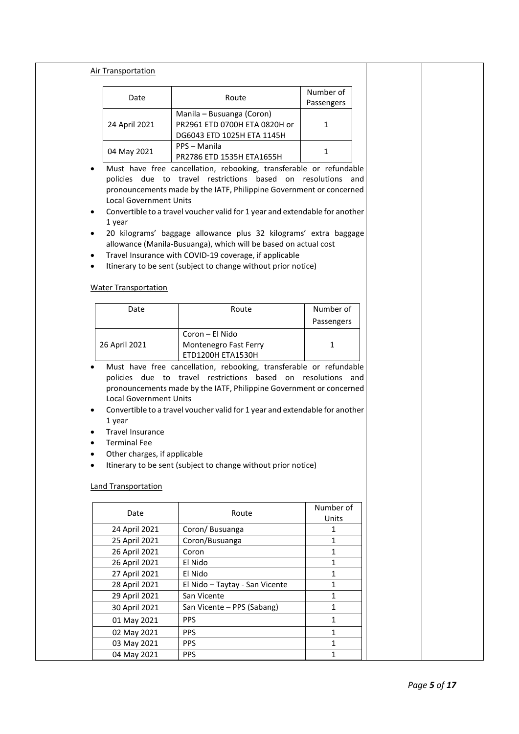| <b>Air Transportation</b>                           |                                                                                                                                                                                                                                                                                                                                                              |                         |  |
|-----------------------------------------------------|--------------------------------------------------------------------------------------------------------------------------------------------------------------------------------------------------------------------------------------------------------------------------------------------------------------------------------------------------------------|-------------------------|--|
| Date                                                | Route                                                                                                                                                                                                                                                                                                                                                        | Number of<br>Passengers |  |
| 24 April 2021                                       | Manila - Busuanga (Coron)<br>PR2961 ETD 0700H ETA 0820H or<br>DG6043 ETD 1025H ETA 1145H                                                                                                                                                                                                                                                                     | 1                       |  |
| 04 May 2021                                         | PPS - Manila<br>PR2786 ETD 1535H ETA1655H                                                                                                                                                                                                                                                                                                                    | $\mathbf{1}$            |  |
| <b>Local Government Units</b><br>1 year             | Must have free cancellation, rebooking, transferable or refundable<br>policies due to travel restrictions based on resolutions and<br>pronouncements made by the IATF, Philippine Government or concerned<br>Convertible to a travel voucher valid for 1 year and extendable for another<br>20 kilograms' baggage allowance plus 32 kilograms' extra baggage |                         |  |
|                                                     | allowance (Manila-Busuanga), which will be based on actual cost<br>Travel Insurance with COVID-19 coverage, if applicable<br>Itinerary to be sent (subject to change without prior notice)                                                                                                                                                                   |                         |  |
| <b>Water Transportation</b>                         |                                                                                                                                                                                                                                                                                                                                                              |                         |  |
| Date                                                | Route                                                                                                                                                                                                                                                                                                                                                        | Number of<br>Passengers |  |
| 26 April 2021                                       | Coron - El Nido<br>Montenegro Fast Ferry<br>ETD1200H ETA1530H                                                                                                                                                                                                                                                                                                | 1                       |  |
| <b>Local Government Units</b>                       | Must have free cancellation, rebooking, transferable or refundable<br>policies due to travel restrictions based on resolutions and<br>pronouncements made by the IATF, Philippine Government or concerned                                                                                                                                                    |                         |  |
| 1 year<br><b>Travel Insurance</b>                   | Convertible to a travel voucher valid for 1 year and extendable for another                                                                                                                                                                                                                                                                                  |                         |  |
| <b>Terminal Fee</b><br>Other charges, if applicable | Itinerary to be sent (subject to change without prior notice)                                                                                                                                                                                                                                                                                                |                         |  |
| <b>Land Transportation</b>                          |                                                                                                                                                                                                                                                                                                                                                              |                         |  |
| Date                                                | Route                                                                                                                                                                                                                                                                                                                                                        | Number of<br>Units      |  |
| 24 April 2021                                       | Coron/ Busuanga                                                                                                                                                                                                                                                                                                                                              | 1                       |  |
| 25 April 2021                                       | Coron/Busuanga                                                                                                                                                                                                                                                                                                                                               | 1                       |  |
| 26 April 2021                                       | Coron                                                                                                                                                                                                                                                                                                                                                        | 1                       |  |
| 26 April 2021                                       | El Nido                                                                                                                                                                                                                                                                                                                                                      | 1                       |  |
| 27 April 2021                                       | El Nido                                                                                                                                                                                                                                                                                                                                                      | 1                       |  |
| 28 April 2021                                       | El Nido - Taytay - San Vicente                                                                                                                                                                                                                                                                                                                               | 1                       |  |
| 29 April 2021                                       | San Vicente                                                                                                                                                                                                                                                                                                                                                  | 1                       |  |
| 30 April 2021                                       | San Vicente - PPS (Sabang)                                                                                                                                                                                                                                                                                                                                   | 1                       |  |
| 01 May 2021                                         | <b>PPS</b>                                                                                                                                                                                                                                                                                                                                                   | 1                       |  |
| 02 May 2021                                         | PPS                                                                                                                                                                                                                                                                                                                                                          | 1                       |  |
| 03 May 2021                                         | <b>PPS</b>                                                                                                                                                                                                                                                                                                                                                   | 1                       |  |
| 04 May 2021                                         | <b>PPS</b>                                                                                                                                                                                                                                                                                                                                                   | 1                       |  |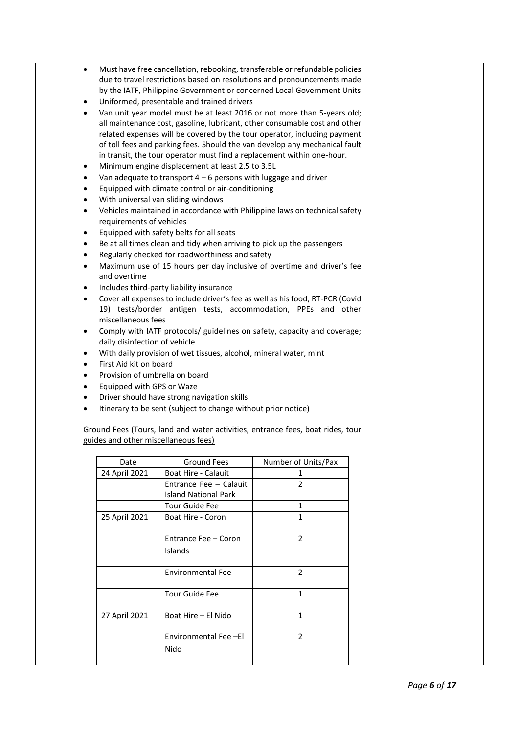| $\bullet$<br>$\bullet$<br>$\bullet$<br>$\bullet$<br>$\bullet$<br>$\bullet$<br>$\bullet$<br>$\bullet$<br>$\bullet$<br>$\bullet$<br>$\bullet$<br>$\bullet$<br>$\bullet$<br>$\bullet$<br>$\bullet$<br>$\bullet$<br>$\bullet$<br>$\bullet$<br>$\bullet$<br>$\bullet$<br>$\bullet$ | requirements of vehicles<br>and overtime<br>miscellaneous fees<br>daily disinfection of vehicle<br>First Aid kit on board<br>Provision of umbrella on board<br>Equipped with GPS or Waze | Must have free cancellation, rebooking, transferable or refundable policies<br>due to travel restrictions based on resolutions and pronouncements made<br>by the IATF, Philippine Government or concerned Local Government Units<br>Uniformed, presentable and trained drivers<br>Van unit year model must be at least 2016 or not more than 5-years old;<br>all maintenance cost, gasoline, lubricant, other consumable cost and other<br>related expenses will be covered by the tour operator, including payment<br>of toll fees and parking fees. Should the van develop any mechanical fault<br>in transit, the tour operator must find a replacement within one-hour.<br>Minimum engine displacement at least 2.5 to 3.5L<br>Van adequate to transport $4 - 6$ persons with luggage and driver<br>Equipped with climate control or air-conditioning<br>With universal van sliding windows<br>Vehicles maintained in accordance with Philippine laws on technical safety<br>Equipped with safety belts for all seats<br>Be at all times clean and tidy when arriving to pick up the passengers<br>Regularly checked for roadworthiness and safety<br>Maximum use of 15 hours per day inclusive of overtime and driver's fee<br>Includes third-party liability insurance<br>Cover all expenses to include driver's fee as well as his food, RT-PCR (Covid<br>19) tests/border antigen tests, accommodation, PPEs and other<br>Comply with IATF protocols/ guidelines on safety, capacity and coverage;<br>With daily provision of wet tissues, alcohol, mineral water, mint<br>Driver should have strong navigation skills<br>Itinerary to be sent (subject to change without prior notice) |                          |  |  |
|-------------------------------------------------------------------------------------------------------------------------------------------------------------------------------------------------------------------------------------------------------------------------------|------------------------------------------------------------------------------------------------------------------------------------------------------------------------------------------|-------------------------------------------------------------------------------------------------------------------------------------------------------------------------------------------------------------------------------------------------------------------------------------------------------------------------------------------------------------------------------------------------------------------------------------------------------------------------------------------------------------------------------------------------------------------------------------------------------------------------------------------------------------------------------------------------------------------------------------------------------------------------------------------------------------------------------------------------------------------------------------------------------------------------------------------------------------------------------------------------------------------------------------------------------------------------------------------------------------------------------------------------------------------------------------------------------------------------------------------------------------------------------------------------------------------------------------------------------------------------------------------------------------------------------------------------------------------------------------------------------------------------------------------------------------------------------------------------------------------------------------------------------------------------------------------------|--------------------------|--|--|
|                                                                                                                                                                                                                                                                               | guides and other miscellaneous fees)                                                                                                                                                     | Ground Fees (Tours, land and water activities, entrance fees, boat rides, tour                                                                                                                                                                                                                                                                                                                                                                                                                                                                                                                                                                                                                                                                                                                                                                                                                                                                                                                                                                                                                                                                                                                                                                                                                                                                                                                                                                                                                                                                                                                                                                                                                  |                          |  |  |
|                                                                                                                                                                                                                                                                               |                                                                                                                                                                                          |                                                                                                                                                                                                                                                                                                                                                                                                                                                                                                                                                                                                                                                                                                                                                                                                                                                                                                                                                                                                                                                                                                                                                                                                                                                                                                                                                                                                                                                                                                                                                                                                                                                                                                 |                          |  |  |
|                                                                                                                                                                                                                                                                               | Date<br>24 April 2021                                                                                                                                                                    | Ground Fees<br>Boat Hire - Calauit                                                                                                                                                                                                                                                                                                                                                                                                                                                                                                                                                                                                                                                                                                                                                                                                                                                                                                                                                                                                                                                                                                                                                                                                                                                                                                                                                                                                                                                                                                                                                                                                                                                              | Number of Units/Pax<br>1 |  |  |
|                                                                                                                                                                                                                                                                               |                                                                                                                                                                                          | Entrance Fee - Calauit<br><b>Island National Park</b>                                                                                                                                                                                                                                                                                                                                                                                                                                                                                                                                                                                                                                                                                                                                                                                                                                                                                                                                                                                                                                                                                                                                                                                                                                                                                                                                                                                                                                                                                                                                                                                                                                           | $\overline{2}$           |  |  |
|                                                                                                                                                                                                                                                                               |                                                                                                                                                                                          | <b>Tour Guide Fee</b>                                                                                                                                                                                                                                                                                                                                                                                                                                                                                                                                                                                                                                                                                                                                                                                                                                                                                                                                                                                                                                                                                                                                                                                                                                                                                                                                                                                                                                                                                                                                                                                                                                                                           | $\mathbf{1}$             |  |  |
|                                                                                                                                                                                                                                                                               | 25 April 2021                                                                                                                                                                            | Boat Hire - Coron                                                                                                                                                                                                                                                                                                                                                                                                                                                                                                                                                                                                                                                                                                                                                                                                                                                                                                                                                                                                                                                                                                                                                                                                                                                                                                                                                                                                                                                                                                                                                                                                                                                                               | $\mathbf{1}$             |  |  |
|                                                                                                                                                                                                                                                                               |                                                                                                                                                                                          | Entrance Fee - Coron<br>Islands                                                                                                                                                                                                                                                                                                                                                                                                                                                                                                                                                                                                                                                                                                                                                                                                                                                                                                                                                                                                                                                                                                                                                                                                                                                                                                                                                                                                                                                                                                                                                                                                                                                                 | $\overline{2}$           |  |  |
|                                                                                                                                                                                                                                                                               |                                                                                                                                                                                          | <b>Environmental Fee</b>                                                                                                                                                                                                                                                                                                                                                                                                                                                                                                                                                                                                                                                                                                                                                                                                                                                                                                                                                                                                                                                                                                                                                                                                                                                                                                                                                                                                                                                                                                                                                                                                                                                                        | $\overline{2}$           |  |  |
|                                                                                                                                                                                                                                                                               |                                                                                                                                                                                          | <b>Tour Guide Fee</b>                                                                                                                                                                                                                                                                                                                                                                                                                                                                                                                                                                                                                                                                                                                                                                                                                                                                                                                                                                                                                                                                                                                                                                                                                                                                                                                                                                                                                                                                                                                                                                                                                                                                           | $\mathbf{1}$             |  |  |
|                                                                                                                                                                                                                                                                               | 27 April 2021                                                                                                                                                                            | Boat Hire - El Nido                                                                                                                                                                                                                                                                                                                                                                                                                                                                                                                                                                                                                                                                                                                                                                                                                                                                                                                                                                                                                                                                                                                                                                                                                                                                                                                                                                                                                                                                                                                                                                                                                                                                             | $\mathbf{1}$             |  |  |
|                                                                                                                                                                                                                                                                               |                                                                                                                                                                                          | Environmental Fee-El<br>Nido                                                                                                                                                                                                                                                                                                                                                                                                                                                                                                                                                                                                                                                                                                                                                                                                                                                                                                                                                                                                                                                                                                                                                                                                                                                                                                                                                                                                                                                                                                                                                                                                                                                                    | $\overline{2}$           |  |  |
|                                                                                                                                                                                                                                                                               |                                                                                                                                                                                          |                                                                                                                                                                                                                                                                                                                                                                                                                                                                                                                                                                                                                                                                                                                                                                                                                                                                                                                                                                                                                                                                                                                                                                                                                                                                                                                                                                                                                                                                                                                                                                                                                                                                                                 |                          |  |  |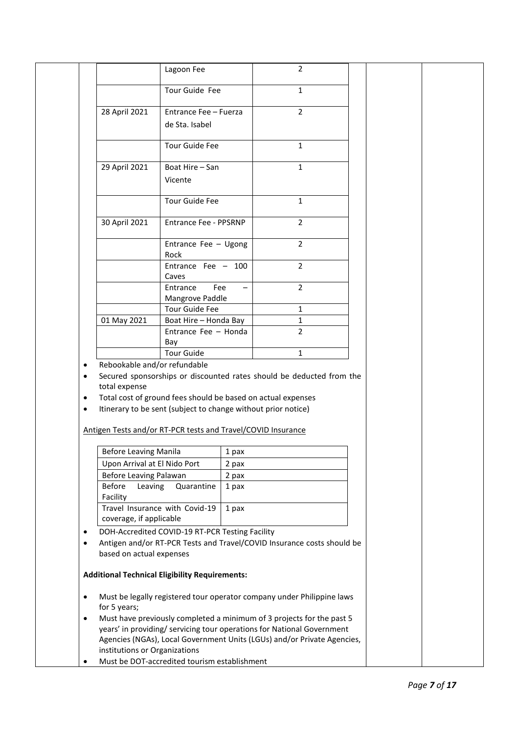|                        |                                      | Lagoon Fee                                                                                                                                                                                    |       | $\overline{2}$                                                          |  |
|------------------------|--------------------------------------|-----------------------------------------------------------------------------------------------------------------------------------------------------------------------------------------------|-------|-------------------------------------------------------------------------|--|
|                        |                                      | Tour Guide Fee                                                                                                                                                                                |       | $\mathbf{1}$                                                            |  |
|                        | 28 April 2021                        | Entrance Fee - Fuerza                                                                                                                                                                         |       | $\overline{2}$                                                          |  |
|                        |                                      | de Sta. Isabel                                                                                                                                                                                |       |                                                                         |  |
|                        |                                      | Tour Guide Fee                                                                                                                                                                                |       | $\mathbf{1}$                                                            |  |
|                        | 29 April 2021                        | Boat Hire - San                                                                                                                                                                               |       | $\mathbf{1}$                                                            |  |
|                        |                                      | Vicente                                                                                                                                                                                       |       |                                                                         |  |
|                        |                                      | Tour Guide Fee                                                                                                                                                                                |       | $\mathbf{1}$                                                            |  |
|                        | 30 April 2021                        | Entrance Fee - PPSRNP                                                                                                                                                                         |       | $\overline{2}$                                                          |  |
|                        |                                      | Entrance Fee - Ugong                                                                                                                                                                          |       | $\overline{2}$                                                          |  |
|                        |                                      | Rock<br>Entrance Fee $-100$                                                                                                                                                                   |       | $\overline{2}$                                                          |  |
|                        |                                      | Caves                                                                                                                                                                                         |       |                                                                         |  |
|                        |                                      | Fee<br>Entrance<br>Mangrove Paddle                                                                                                                                                            |       | $\overline{2}$                                                          |  |
|                        |                                      | <b>Tour Guide Fee</b>                                                                                                                                                                         |       | 1                                                                       |  |
|                        | 01 May 2021                          | Boat Hire - Honda Bay                                                                                                                                                                         |       | $\mathbf{1}$                                                            |  |
|                        |                                      | Entrance Fee - Honda<br>Bay                                                                                                                                                                   |       | $\overline{2}$                                                          |  |
|                        |                                      | <b>Tour Guide</b>                                                                                                                                                                             |       | 1                                                                       |  |
| $\bullet$<br>$\bullet$ | total expense                        | Total cost of ground fees should be based on actual expenses<br>Itinerary to be sent (subject to change without prior notice)<br>Antigen Tests and/or RT-PCR tests and Travel/COVID Insurance |       |                                                                         |  |
|                        | <b>Before Leaving Manila</b>         |                                                                                                                                                                                               | 1 pax |                                                                         |  |
|                        | Upon Arrival at El Nido Port         |                                                                                                                                                                                               | 2 pax |                                                                         |  |
|                        | Before Leaving Palawan               |                                                                                                                                                                                               | 2 pax |                                                                         |  |
|                        | <b>Before</b><br>Leaving<br>Facility | Quarantine                                                                                                                                                                                    | 1 pax |                                                                         |  |
|                        | coverage, if applicable              | Travel Insurance with Covid-19                                                                                                                                                                | 1 pax |                                                                         |  |
|                        |                                      | DOH-Accredited COVID-19 RT-PCR Testing Facility                                                                                                                                               |       |                                                                         |  |
|                        |                                      |                                                                                                                                                                                               |       | Antigen and/or RT-PCR Tests and Travel/COVID Insurance costs should be  |  |
|                        | based on actual expenses             |                                                                                                                                                                                               |       |                                                                         |  |
|                        |                                      |                                                                                                                                                                                               |       |                                                                         |  |
|                        |                                      | <b>Additional Technical Eligibility Requirements:</b>                                                                                                                                         |       |                                                                         |  |
| ٠                      | for 5 years;                         |                                                                                                                                                                                               |       | Must be legally registered tour operator company under Philippine laws  |  |
| $\bullet$              |                                      |                                                                                                                                                                                               |       | Must have previously completed a minimum of 3 projects for the past 5   |  |
|                        |                                      |                                                                                                                                                                                               |       | years' in providing/ servicing tour operations for National Government  |  |
|                        | institutions or Organizations        |                                                                                                                                                                                               |       | Agencies (NGAs), Local Government Units (LGUs) and/or Private Agencies, |  |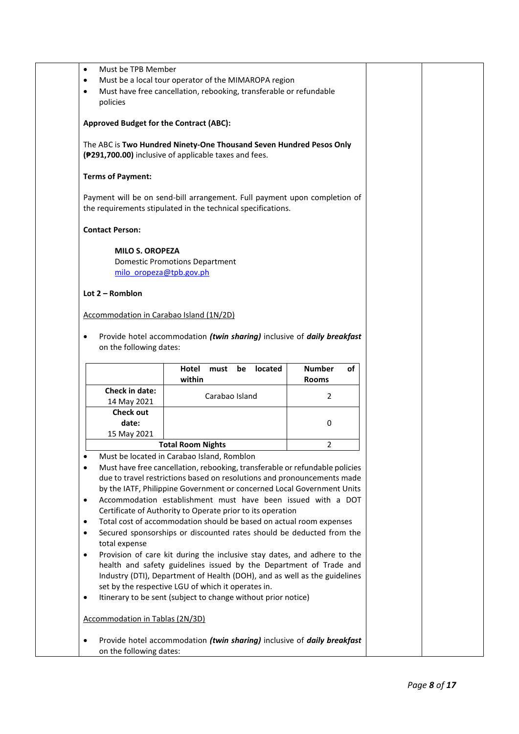| Must be TPB Member<br>$\bullet$<br>$\bullet$<br>$\bullet$<br>policies                                                                              | Must be a local tour operator of the MIMAROPA region<br>Must have free cancellation, rebooking, transferable or refundable                                                                                                                                                                                                                                                                                                                                                                                                                                                                                                                                                                                                                                                                                                                                                                                        |                                     |  |  |  |  |  |  |
|----------------------------------------------------------------------------------------------------------------------------------------------------|-------------------------------------------------------------------------------------------------------------------------------------------------------------------------------------------------------------------------------------------------------------------------------------------------------------------------------------------------------------------------------------------------------------------------------------------------------------------------------------------------------------------------------------------------------------------------------------------------------------------------------------------------------------------------------------------------------------------------------------------------------------------------------------------------------------------------------------------------------------------------------------------------------------------|-------------------------------------|--|--|--|--|--|--|
| <b>Approved Budget for the Contract (ABC):</b>                                                                                                     |                                                                                                                                                                                                                                                                                                                                                                                                                                                                                                                                                                                                                                                                                                                                                                                                                                                                                                                   |                                     |  |  |  |  |  |  |
| The ABC is Two Hundred Ninety-One Thousand Seven Hundred Pesos Only<br>( <sup>291</sup> ,700.00) inclusive of applicable taxes and fees.           |                                                                                                                                                                                                                                                                                                                                                                                                                                                                                                                                                                                                                                                                                                                                                                                                                                                                                                                   |                                     |  |  |  |  |  |  |
| <b>Terms of Payment:</b>                                                                                                                           |                                                                                                                                                                                                                                                                                                                                                                                                                                                                                                                                                                                                                                                                                                                                                                                                                                                                                                                   |                                     |  |  |  |  |  |  |
|                                                                                                                                                    | Payment will be on send-bill arrangement. Full payment upon completion of<br>the requirements stipulated in the technical specifications.                                                                                                                                                                                                                                                                                                                                                                                                                                                                                                                                                                                                                                                                                                                                                                         |                                     |  |  |  |  |  |  |
| <b>Contact Person:</b>                                                                                                                             |                                                                                                                                                                                                                                                                                                                                                                                                                                                                                                                                                                                                                                                                                                                                                                                                                                                                                                                   |                                     |  |  |  |  |  |  |
| <b>MILO S. OROPEZA</b><br>milo oropeza@tpb.gov.ph<br>Lot $2 -$ Romblon                                                                             | <b>Domestic Promotions Department</b>                                                                                                                                                                                                                                                                                                                                                                                                                                                                                                                                                                                                                                                                                                                                                                                                                                                                             |                                     |  |  |  |  |  |  |
| Accommodation in Carabao Island (1N/2D)                                                                                                            |                                                                                                                                                                                                                                                                                                                                                                                                                                                                                                                                                                                                                                                                                                                                                                                                                                                                                                                   |                                     |  |  |  |  |  |  |
| $\bullet$                                                                                                                                          | Provide hotel accommodation (twin sharing) inclusive of daily breakfast                                                                                                                                                                                                                                                                                                                                                                                                                                                                                                                                                                                                                                                                                                                                                                                                                                           |                                     |  |  |  |  |  |  |
| on the following dates:                                                                                                                            | located<br>Hotel<br>must<br>be<br>within                                                                                                                                                                                                                                                                                                                                                                                                                                                                                                                                                                                                                                                                                                                                                                                                                                                                          | of<br><b>Number</b><br><b>Rooms</b> |  |  |  |  |  |  |
| <b>Check in date:</b><br>14 May 2021                                                                                                               | Carabao Island                                                                                                                                                                                                                                                                                                                                                                                                                                                                                                                                                                                                                                                                                                                                                                                                                                                                                                    | 2                                   |  |  |  |  |  |  |
| <b>Check out</b><br>date:<br>15 May 2021                                                                                                           |                                                                                                                                                                                                                                                                                                                                                                                                                                                                                                                                                                                                                                                                                                                                                                                                                                                                                                                   | 0                                   |  |  |  |  |  |  |
|                                                                                                                                                    | <b>Total Room Nights</b>                                                                                                                                                                                                                                                                                                                                                                                                                                                                                                                                                                                                                                                                                                                                                                                                                                                                                          | 2                                   |  |  |  |  |  |  |
| $\bullet$<br>$\bullet$<br>$\bullet$<br>$\bullet$<br>$\bullet$<br>total expense<br>$\bullet$<br>$\bullet$<br><b>Accommodation in Tablas (2N/3D)</b> | Must be located in Carabao Island, Romblon<br>Must have free cancellation, rebooking, transferable or refundable policies<br>due to travel restrictions based on resolutions and pronouncements made<br>by the IATF, Philippine Government or concerned Local Government Units<br>Accommodation establishment must have been issued with a DOT<br>Certificate of Authority to Operate prior to its operation<br>Total cost of accommodation should be based on actual room expenses<br>Secured sponsorships or discounted rates should be deducted from the<br>Provision of care kit during the inclusive stay dates, and adhere to the<br>health and safety guidelines issued by the Department of Trade and<br>Industry (DTI), Department of Health (DOH), and as well as the guidelines<br>set by the respective LGU of which it operates in.<br>Itinerary to be sent (subject to change without prior notice) |                                     |  |  |  |  |  |  |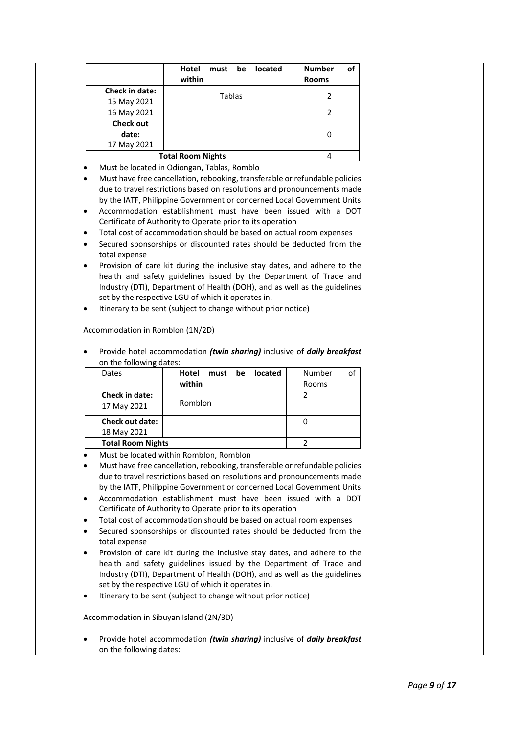|           |                                         | Hotel<br>must<br>within                                                                                                                                | located<br>be | <b>Number</b> | of |
|-----------|-----------------------------------------|--------------------------------------------------------------------------------------------------------------------------------------------------------|---------------|---------------|----|
|           | Check in date:                          |                                                                                                                                                        |               | <b>Rooms</b>  |    |
|           | 15 May 2021                             | Tablas                                                                                                                                                 |               | 2             |    |
|           | 16 May 2021                             |                                                                                                                                                        |               | 2             |    |
|           | <b>Check out</b>                        |                                                                                                                                                        |               |               |    |
|           | date:                                   |                                                                                                                                                        |               | 0             |    |
|           | 17 May 2021                             |                                                                                                                                                        |               |               |    |
|           |                                         | <b>Total Room Nights</b>                                                                                                                               |               | 4             |    |
| $\bullet$ |                                         | Must be located in Odiongan, Tablas, Romblo                                                                                                            |               |               |    |
| $\bullet$ |                                         | Must have free cancellation, rebooking, transferable or refundable policies                                                                            |               |               |    |
|           |                                         | due to travel restrictions based on resolutions and pronouncements made                                                                                |               |               |    |
|           |                                         | by the IATF, Philippine Government or concerned Local Government Units                                                                                 |               |               |    |
| $\bullet$ |                                         | Accommodation establishment must have been issued with a DOT                                                                                           |               |               |    |
|           |                                         | Certificate of Authority to Operate prior to its operation                                                                                             |               |               |    |
| $\bullet$ |                                         | Total cost of accommodation should be based on actual room expenses                                                                                    |               |               |    |
| $\bullet$ |                                         | Secured sponsorships or discounted rates should be deducted from the                                                                                   |               |               |    |
|           | total expense                           |                                                                                                                                                        |               |               |    |
| $\bullet$ |                                         | Provision of care kit during the inclusive stay dates, and adhere to the<br>health and safety guidelines issued by the Department of Trade and         |               |               |    |
|           |                                         | Industry (DTI), Department of Health (DOH), and as well as the guidelines                                                                              |               |               |    |
|           |                                         | set by the respective LGU of which it operates in.                                                                                                     |               |               |    |
| $\bullet$ |                                         | Itinerary to be sent (subject to change without prior notice)                                                                                          |               |               |    |
|           |                                         |                                                                                                                                                        |               |               |    |
|           | Accommodation in Romblon (1N/2D)        |                                                                                                                                                        |               |               |    |
|           |                                         |                                                                                                                                                        |               |               |    |
| $\bullet$ |                                         | Provide hotel accommodation (twin sharing) inclusive of daily breakfast                                                                                |               |               |    |
|           | on the following dates:                 |                                                                                                                                                        |               |               |    |
|           | Dates                                   | Hotel<br>must                                                                                                                                          | located<br>be | Number        | of |
|           | Check in date:                          | within                                                                                                                                                 |               | Rooms<br>2    |    |
|           | 17 May 2021                             | Romblon                                                                                                                                                |               |               |    |
|           |                                         |                                                                                                                                                        |               |               |    |
|           | <b>Check out date:</b>                  |                                                                                                                                                        |               | 0             |    |
|           | 18 May 2021                             |                                                                                                                                                        |               |               |    |
|           | <b>Total Room Nights</b>                |                                                                                                                                                        |               | 2             |    |
| $\bullet$ |                                         | Must be located within Romblon, Romblon                                                                                                                |               |               |    |
| $\bullet$ |                                         | Must have free cancellation, rebooking, transferable or refundable policies<br>due to travel restrictions based on resolutions and pronouncements made |               |               |    |
|           |                                         | by the IATF, Philippine Government or concerned Local Government Units                                                                                 |               |               |    |
| $\bullet$ |                                         | Accommodation establishment must have been issued with a DOT                                                                                           |               |               |    |
|           |                                         | Certificate of Authority to Operate prior to its operation                                                                                             |               |               |    |
| $\bullet$ |                                         | Total cost of accommodation should be based on actual room expenses                                                                                    |               |               |    |
| $\bullet$ |                                         | Secured sponsorships or discounted rates should be deducted from the                                                                                   |               |               |    |
|           | total expense                           |                                                                                                                                                        |               |               |    |
| $\bullet$ |                                         | Provision of care kit during the inclusive stay dates, and adhere to the                                                                               |               |               |    |
|           |                                         | health and safety guidelines issued by the Department of Trade and                                                                                     |               |               |    |
|           |                                         | Industry (DTI), Department of Health (DOH), and as well as the guidelines                                                                              |               |               |    |
|           |                                         | set by the respective LGU of which it operates in.                                                                                                     |               |               |    |
| $\bullet$ |                                         | Itinerary to be sent (subject to change without prior notice)                                                                                          |               |               |    |
|           | Accommodation in Sibuyan Island (2N/3D) |                                                                                                                                                        |               |               |    |
|           |                                         | Provide hotel accommodation (twin sharing) inclusive of daily breakfast                                                                                |               |               |    |
|           | on the following dates:                 |                                                                                                                                                        |               |               |    |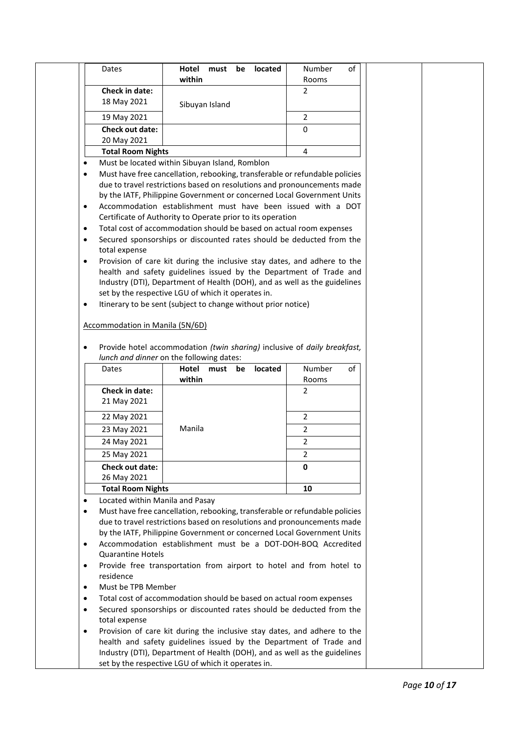|           | Dates                                                                                                                                                  | Hotel          | must | be | <b>located</b> | Number         | of |
|-----------|--------------------------------------------------------------------------------------------------------------------------------------------------------|----------------|------|----|----------------|----------------|----|
|           |                                                                                                                                                        | within         |      |    |                | Rooms          |    |
|           | Check in date:                                                                                                                                         |                |      |    |                | $\overline{2}$ |    |
|           | 18 May 2021                                                                                                                                            | Sibuyan Island |      |    |                |                |    |
|           | 19 May 2021                                                                                                                                            |                |      |    |                | $\overline{2}$ |    |
|           | Check out date:                                                                                                                                        |                |      |    |                | 0              |    |
|           | 20 May 2021                                                                                                                                            |                |      |    |                |                |    |
|           | <b>Total Room Nights</b>                                                                                                                               |                |      |    |                | 4              |    |
| $\bullet$ | Must be located within Sibuyan Island, Romblon                                                                                                         |                |      |    |                |                |    |
| ٠         | Must have free cancellation, rebooking, transferable or refundable policies<br>due to travel restrictions based on resolutions and pronouncements made |                |      |    |                |                |    |
|           | by the IATF, Philippine Government or concerned Local Government Units                                                                                 |                |      |    |                |                |    |
| $\bullet$ | Accommodation establishment must have been issued with a DOT                                                                                           |                |      |    |                |                |    |
|           | Certificate of Authority to Operate prior to its operation                                                                                             |                |      |    |                |                |    |
| $\bullet$ | Total cost of accommodation should be based on actual room expenses                                                                                    |                |      |    |                |                |    |
| $\bullet$ | Secured sponsorships or discounted rates should be deducted from the                                                                                   |                |      |    |                |                |    |
|           | total expense                                                                                                                                          |                |      |    |                |                |    |
| $\bullet$ | Provision of care kit during the inclusive stay dates, and adhere to the                                                                               |                |      |    |                |                |    |
|           | health and safety guidelines issued by the Department of Trade and                                                                                     |                |      |    |                |                |    |
|           | Industry (DTI), Department of Health (DOH), and as well as the guidelines                                                                              |                |      |    |                |                |    |
|           | set by the respective LGU of which it operates in.                                                                                                     |                |      |    |                |                |    |
| $\bullet$ | Itinerary to be sent (subject to change without prior notice)                                                                                          |                |      |    |                |                |    |
|           | <b>Accommodation in Manila (5N/6D)</b>                                                                                                                 |                |      |    |                |                |    |
|           |                                                                                                                                                        |                |      |    |                |                |    |
|           |                                                                                                                                                        |                |      |    |                |                |    |
| $\bullet$ |                                                                                                                                                        |                |      |    |                |                |    |
|           | Provide hotel accommodation (twin sharing) inclusive of daily breakfast,<br>lunch and dinner on the following dates:                                   |                |      |    |                |                |    |
|           | Dates                                                                                                                                                  | Hotel          | must | be | located        | Number         | of |
|           |                                                                                                                                                        | within         |      |    |                | Rooms          |    |
|           | Check in date:                                                                                                                                         |                |      |    |                | $\overline{2}$ |    |
|           | 21 May 2021                                                                                                                                            |                |      |    |                |                |    |
|           | 22 May 2021                                                                                                                                            |                |      |    |                | $\overline{2}$ |    |
|           | 23 May 2021                                                                                                                                            | Manila         |      |    |                | 2              |    |
|           | 24 May 2021                                                                                                                                            |                |      |    |                | $\overline{2}$ |    |
|           | 25 May 2021                                                                                                                                            |                |      |    |                | 2              |    |
|           | <b>Check out date:</b>                                                                                                                                 |                |      |    |                | 0              |    |
|           | 26 May 2021                                                                                                                                            |                |      |    |                |                |    |
|           | <b>Total Room Nights</b>                                                                                                                               |                |      |    |                | 10             |    |
| ٠         | Located within Manila and Pasay                                                                                                                        |                |      |    |                |                |    |
| $\bullet$ | Must have free cancellation, rebooking, transferable or refundable policies                                                                            |                |      |    |                |                |    |
|           | due to travel restrictions based on resolutions and pronouncements made                                                                                |                |      |    |                |                |    |
|           | by the IATF, Philippine Government or concerned Local Government Units                                                                                 |                |      |    |                |                |    |
| ٠         | Accommodation establishment must be a DOT-DOH-BOQ Accredited                                                                                           |                |      |    |                |                |    |
|           | <b>Quarantine Hotels</b>                                                                                                                               |                |      |    |                |                |    |
| ٠         | Provide free transportation from airport to hotel and from hotel to                                                                                    |                |      |    |                |                |    |
|           | residence                                                                                                                                              |                |      |    |                |                |    |
| $\bullet$ | Must be TPB Member                                                                                                                                     |                |      |    |                |                |    |
| $\bullet$ | Total cost of accommodation should be based on actual room expenses                                                                                    |                |      |    |                |                |    |
| $\bullet$ | Secured sponsorships or discounted rates should be deducted from the                                                                                   |                |      |    |                |                |    |
|           | total expense                                                                                                                                          |                |      |    |                |                |    |
| $\bullet$ | Provision of care kit during the inclusive stay dates, and adhere to the                                                                               |                |      |    |                |                |    |
|           | health and safety guidelines issued by the Department of Trade and<br>Industry (DTI), Department of Health (DOH), and as well as the guidelines        |                |      |    |                |                |    |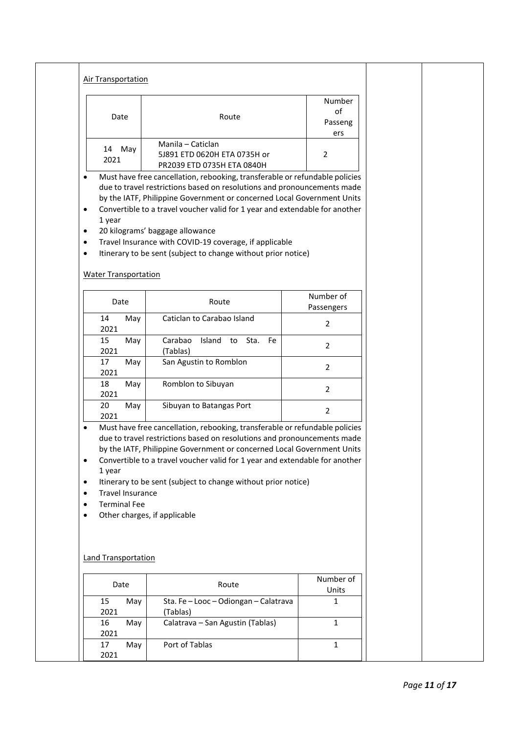| <b>Air Transportation</b>                                                                                              |                                                                                                                                                                                                                                                                                                                                                                                                                                                                               |                    |  |
|------------------------------------------------------------------------------------------------------------------------|-------------------------------------------------------------------------------------------------------------------------------------------------------------------------------------------------------------------------------------------------------------------------------------------------------------------------------------------------------------------------------------------------------------------------------------------------------------------------------|--------------------|--|
|                                                                                                                        |                                                                                                                                                                                                                                                                                                                                                                                                                                                                               | Number<br>of       |  |
| Date                                                                                                                   | Route                                                                                                                                                                                                                                                                                                                                                                                                                                                                         | Passeng<br>ers     |  |
| 14 May<br>2021                                                                                                         | Manila - Caticlan<br>5J891 ETD 0620H ETA 0735H or<br>PR2039 ETD 0735H ETA 0840H                                                                                                                                                                                                                                                                                                                                                                                               | $\overline{2}$     |  |
| $\bullet$<br>1 year<br>٠<br>٠<br>$\bullet$<br><b>Water Transportation</b>                                              | Must have free cancellation, rebooking, transferable or refundable policies<br>due to travel restrictions based on resolutions and pronouncements made<br>by the IATF, Philippine Government or concerned Local Government Units<br>Convertible to a travel voucher valid for 1 year and extendable for another<br>20 kilograms' baggage allowance<br>Travel Insurance with COVID-19 coverage, if applicable<br>Itinerary to be sent (subject to change without prior notice) |                    |  |
|                                                                                                                        |                                                                                                                                                                                                                                                                                                                                                                                                                                                                               | Number of          |  |
| Date                                                                                                                   | Route                                                                                                                                                                                                                                                                                                                                                                                                                                                                         | Passengers         |  |
| 14<br>May<br>2021                                                                                                      | Caticlan to Carabao Island                                                                                                                                                                                                                                                                                                                                                                                                                                                    | $\overline{2}$     |  |
| 15<br>May<br>2021                                                                                                      | Carabao<br>Island to Sta.<br>Fe<br>(Tablas)                                                                                                                                                                                                                                                                                                                                                                                                                                   | 2                  |  |
| 17<br>May<br>2021                                                                                                      | San Agustin to Romblon                                                                                                                                                                                                                                                                                                                                                                                                                                                        | $\overline{2}$     |  |
| 18<br>May<br>2021                                                                                                      | Romblon to Sibuyan                                                                                                                                                                                                                                                                                                                                                                                                                                                            | $\overline{2}$     |  |
| 20<br>May<br>2021                                                                                                      | Sibuyan to Batangas Port                                                                                                                                                                                                                                                                                                                                                                                                                                                      | 2                  |  |
| $\bullet$<br>٠<br>1 year<br>$\bullet$<br><b>Travel Insurance</b><br>$\bullet$<br><b>Terminal Fee</b><br>$\bullet$<br>٠ | Must have free cancellation, rebooking, transferable or refundable policies<br>due to travel restrictions based on resolutions and pronouncements made<br>by the IATF, Philippine Government or concerned Local Government Units<br>Convertible to a travel voucher valid for 1 year and extendable for another<br>Itinerary to be sent (subject to change without prior notice)<br>Other charges, if applicable                                                              |                    |  |
| <b>Land Transportation</b>                                                                                             |                                                                                                                                                                                                                                                                                                                                                                                                                                                                               |                    |  |
| Date                                                                                                                   | Route                                                                                                                                                                                                                                                                                                                                                                                                                                                                         | Number of<br>Units |  |
|                                                                                                                        | Sta. Fe-Looc-Odiongan-Calatrava                                                                                                                                                                                                                                                                                                                                                                                                                                               | $\mathbf{1}$       |  |
| 15<br>May<br>2021                                                                                                      | (Tablas)                                                                                                                                                                                                                                                                                                                                                                                                                                                                      |                    |  |
| 16<br>May<br>2021                                                                                                      | Calatrava - San Agustin (Tablas)                                                                                                                                                                                                                                                                                                                                                                                                                                              | $\mathbf{1}$       |  |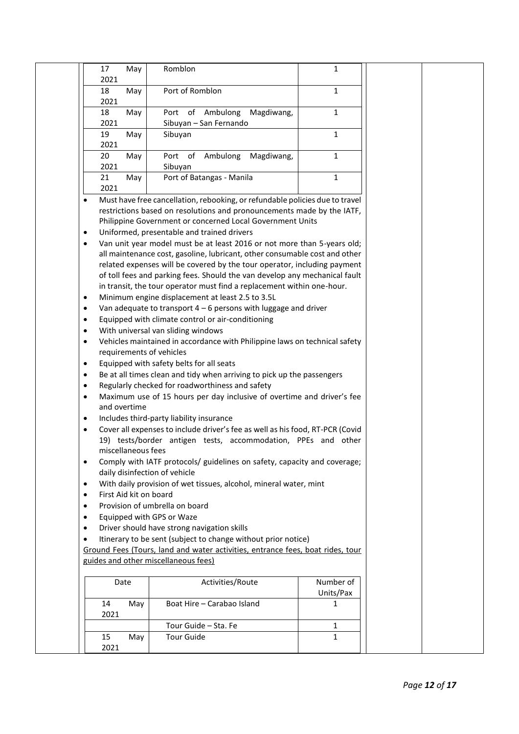| 17<br>May                                                                                                                           | Romblon                                                                      | 1            |  |  |
|-------------------------------------------------------------------------------------------------------------------------------------|------------------------------------------------------------------------------|--------------|--|--|
| 2021                                                                                                                                |                                                                              |              |  |  |
| 18<br>May                                                                                                                           | Port of Romblon                                                              | 1            |  |  |
| 2021                                                                                                                                |                                                                              |              |  |  |
| 18<br>May                                                                                                                           | Port of Ambulong<br>Magdiwang,                                               | $\mathbf{1}$ |  |  |
| 2021                                                                                                                                | Sibuyan - San Fernando                                                       |              |  |  |
| 19<br>May                                                                                                                           | Sibuyan                                                                      | $\mathbf{1}$ |  |  |
| 2021<br>20<br>May                                                                                                                   | Port of Ambulong<br>Magdiwang,                                               | $\mathbf{1}$ |  |  |
| 2021                                                                                                                                | Sibuyan                                                                      |              |  |  |
| 21<br>May                                                                                                                           | Port of Batangas - Manila                                                    | $\mathbf{1}$ |  |  |
| 2021                                                                                                                                |                                                                              |              |  |  |
| $\bullet$                                                                                                                           | Must have free cancellation, rebooking, or refundable policies due to travel |              |  |  |
|                                                                                                                                     |                                                                              |              |  |  |
| restrictions based on resolutions and pronouncements made by the IATF,<br>Philippine Government or concerned Local Government Units |                                                                              |              |  |  |
| $\bullet$                                                                                                                           | Uniformed, presentable and trained drivers                                   |              |  |  |
| $\bullet$                                                                                                                           | Van unit year model must be at least 2016 or not more than 5-years old;      |              |  |  |
|                                                                                                                                     | all maintenance cost, gasoline, lubricant, other consumable cost and other   |              |  |  |
|                                                                                                                                     | related expenses will be covered by the tour operator, including payment     |              |  |  |
|                                                                                                                                     | of toll fees and parking fees. Should the van develop any mechanical fault   |              |  |  |
|                                                                                                                                     | in transit, the tour operator must find a replacement within one-hour.       |              |  |  |
| $\bullet$                                                                                                                           | Minimum engine displacement at least 2.5 to 3.5L                             |              |  |  |
| $\bullet$                                                                                                                           | Van adequate to transport $4 - 6$ persons with luggage and driver            |              |  |  |
| $\bullet$                                                                                                                           | Equipped with climate control or air-conditioning                            |              |  |  |
| $\bullet$                                                                                                                           | With universal van sliding windows                                           |              |  |  |
| Vehicles maintained in accordance with Philippine laws on technical safety<br>٠                                                     |                                                                              |              |  |  |
| requirements of vehicles                                                                                                            |                                                                              |              |  |  |
| Equipped with safety belts for all seats<br>$\bullet$                                                                               |                                                                              |              |  |  |
| Be at all times clean and tidy when arriving to pick up the passengers<br>$\bullet$                                                 |                                                                              |              |  |  |
| Regularly checked for roadworthiness and safety<br>$\bullet$                                                                        |                                                                              |              |  |  |
| Maximum use of 15 hours per day inclusive of overtime and driver's fee<br>$\bullet$                                                 |                                                                              |              |  |  |
| and overtime                                                                                                                        |                                                                              |              |  |  |
| $\bullet$                                                                                                                           | Includes third-party liability insurance                                     |              |  |  |
| Cover all expenses to include driver's fee as well as his food, RT-PCR (Covid<br>$\bullet$                                          |                                                                              |              |  |  |
| 19) tests/border antigen tests, accommodation, PPEs and other<br>miscellaneous fees                                                 |                                                                              |              |  |  |
| $\bullet$                                                                                                                           | Comply with IATF protocols/ guidelines on safety, capacity and coverage;     |              |  |  |
|                                                                                                                                     |                                                                              |              |  |  |
| daily disinfection of vehicle<br>With daily provision of wet tissues, alcohol, mineral water, mint<br>$\bullet$                     |                                                                              |              |  |  |
| First Aid kit on board<br>$\bullet$                                                                                                 |                                                                              |              |  |  |
| Provision of umbrella on board<br>$\bullet$                                                                                         |                                                                              |              |  |  |
| Equipped with GPS or Waze<br>$\bullet$                                                                                              |                                                                              |              |  |  |
| $\bullet$                                                                                                                           | Driver should have strong navigation skills                                  |              |  |  |
| Itinerary to be sent (subject to change without prior notice)                                                                       |                                                                              |              |  |  |
| Ground Fees (Tours, land and water activities, entrance fees, boat rides, tour                                                      |                                                                              |              |  |  |
| guides and other miscellaneous fees)                                                                                                |                                                                              |              |  |  |
|                                                                                                                                     |                                                                              |              |  |  |
| Date                                                                                                                                | Activities/Route                                                             | Number of    |  |  |
|                                                                                                                                     |                                                                              | Units/Pax    |  |  |
| 14<br>May                                                                                                                           | Boat Hire - Carabao Island                                                   | 1            |  |  |
| 2021                                                                                                                                |                                                                              |              |  |  |
|                                                                                                                                     | Tour Guide - Sta. Fe                                                         | 1            |  |  |
| 15<br>May                                                                                                                           | <b>Tour Guide</b>                                                            | $\mathbf{1}$ |  |  |
| 2021                                                                                                                                |                                                                              |              |  |  |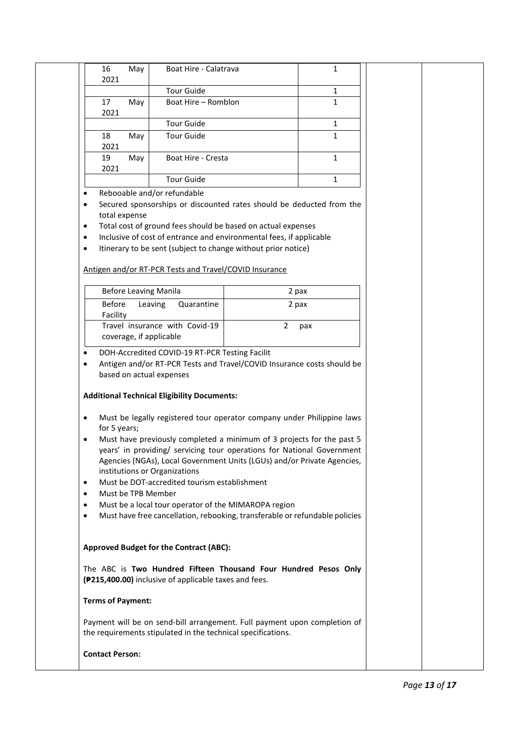|                | 16<br>May<br>2021                                                                                                                                 | Boat Hire - Calatrava                                                                                                    |                | 1            |  |  |
|----------------|---------------------------------------------------------------------------------------------------------------------------------------------------|--------------------------------------------------------------------------------------------------------------------------|----------------|--------------|--|--|
|                |                                                                                                                                                   | <b>Tour Guide</b>                                                                                                        |                | 1            |  |  |
|                | 17<br>May                                                                                                                                         | Boat Hire - Romblon                                                                                                      |                | $\mathbf{1}$ |  |  |
|                | 2021                                                                                                                                              |                                                                                                                          |                |              |  |  |
|                |                                                                                                                                                   | <b>Tour Guide</b>                                                                                                        |                | 1            |  |  |
|                | 18<br>May                                                                                                                                         | <b>Tour Guide</b>                                                                                                        |                | 1            |  |  |
|                | 2021<br>19<br>May                                                                                                                                 | Boat Hire - Cresta                                                                                                       |                | $\mathbf{1}$ |  |  |
|                | 2021                                                                                                                                              |                                                                                                                          |                |              |  |  |
|                |                                                                                                                                                   | <b>Tour Guide</b>                                                                                                        |                | $\mathbf{1}$ |  |  |
| $\bullet$      |                                                                                                                                                   | Rebooable and/or refundable                                                                                              |                |              |  |  |
| ٠              | Secured sponsorships or discounted rates should be deducted from the<br>total expense                                                             |                                                                                                                          |                |              |  |  |
| $\bullet$      |                                                                                                                                                   | Total cost of ground fees should be based on actual expenses                                                             |                |              |  |  |
| $\bullet$      |                                                                                                                                                   | Inclusive of cost of entrance and environmental fees, if applicable                                                      |                |              |  |  |
| $\bullet$      |                                                                                                                                                   | Itinerary to be sent (subject to change without prior notice)                                                            |                |              |  |  |
|                |                                                                                                                                                   | Antigen and/or RT-PCR Tests and Travel/COVID Insurance                                                                   |                |              |  |  |
|                |                                                                                                                                                   |                                                                                                                          |                |              |  |  |
|                | <b>Before Leaving Manila</b>                                                                                                                      |                                                                                                                          | 2 pax          |              |  |  |
|                | <b>Before</b><br>Facility                                                                                                                         | Leaving<br>Quarantine                                                                                                    | 2 pax          |              |  |  |
|                | coverage, if applicable                                                                                                                           | Travel insurance with Covid-19                                                                                           | $\overline{2}$ | pax          |  |  |
|                |                                                                                                                                                   |                                                                                                                          |                |              |  |  |
| ٠<br>$\bullet$ | based on actual expenses                                                                                                                          | DOH-Accredited COVID-19 RT-PCR Testing Facilit<br>Antigen and/or RT-PCR Tests and Travel/COVID Insurance costs should be |                |              |  |  |
|                |                                                                                                                                                   | <b>Additional Technical Eligibility Documents:</b>                                                                       |                |              |  |  |
| $\bullet$      |                                                                                                                                                   | Must be legally registered tour operator company under Philippine laws                                                   |                |              |  |  |
|                | for 5 years;                                                                                                                                      |                                                                                                                          |                |              |  |  |
| $\bullet$      | Must have previously completed a minimum of 3 projects for the past 5                                                                             |                                                                                                                          |                |              |  |  |
|                | years' in providing/ servicing tour operations for National Government<br>Agencies (NGAs), Local Government Units (LGUs) and/or Private Agencies, |                                                                                                                          |                |              |  |  |
|                | institutions or Organizations                                                                                                                     |                                                                                                                          |                |              |  |  |
|                | Must be DOT-accredited tourism establishment<br>$\bullet$                                                                                         |                                                                                                                          |                |              |  |  |
|                | Must be TPB Member<br>$\bullet$                                                                                                                   |                                                                                                                          |                |              |  |  |
| $\bullet$      | Must be a local tour operator of the MIMAROPA region<br>٠<br>Must have free cancellation, rebooking, transferable or refundable policies          |                                                                                                                          |                |              |  |  |
|                |                                                                                                                                                   |                                                                                                                          |                |              |  |  |
|                |                                                                                                                                                   | Approved Budget for the Contract (ABC):                                                                                  |                |              |  |  |
|                |                                                                                                                                                   | The ABC is Two Hundred Fifteen Thousand Four Hundred Pesos Only<br>(#215,400.00) inclusive of applicable taxes and fees. |                |              |  |  |
|                | <b>Terms of Payment:</b>                                                                                                                          |                                                                                                                          |                |              |  |  |
|                | Payment will be on send-bill arrangement. Full payment upon completion of<br>the requirements stipulated in the technical specifications.         |                                                                                                                          |                |              |  |  |
|                | <b>Contact Person:</b>                                                                                                                            |                                                                                                                          |                |              |  |  |
|                |                                                                                                                                                   |                                                                                                                          |                |              |  |  |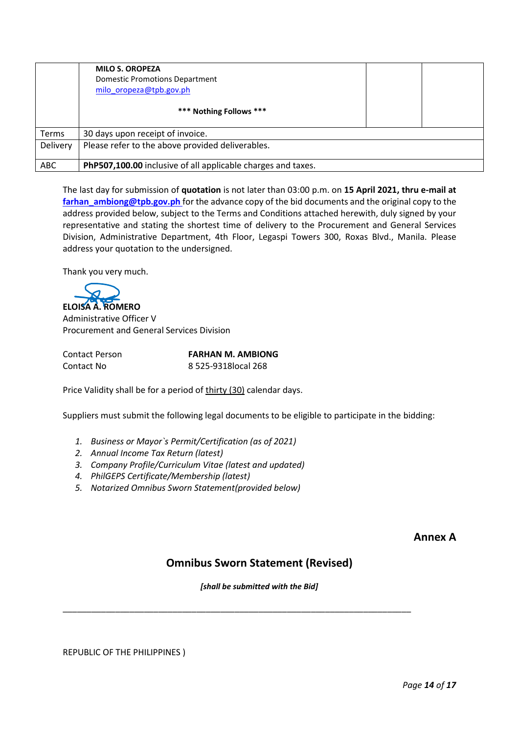|              | <b>MILO S. OROPEZA</b><br>Domestic Promotions Department<br>milo oropeza@tpb.gov.ph |  |
|--------------|-------------------------------------------------------------------------------------|--|
|              | *** Nothing Follows ***                                                             |  |
| <b>Terms</b> | 30 days upon receipt of invoice.                                                    |  |
| Delivery     | Please refer to the above provided deliverables.                                    |  |
| <b>ABC</b>   | PhP507,100.00 inclusive of all applicable charges and taxes.                        |  |

The last day for submission of **quotation** is not later than 03:00 p.m. on **15 April 2021, thru e-mail at** farhan ambiong@tpb.gov.ph for the advance copy of the bid documents and the original copy to the address provided below, subject to the Terms and Conditions attached herewith, duly signed by your representative and stating the shortest time of delivery to the Procurement and General Services Division, Administrative Department, 4th Floor, Legaspi Towers 300, Roxas Blvd., Manila. Please address your quotation to the undersigned.

Thank you very much.

**ELOISA A. ROMERO**

Administrative Officer V Procurement and General Services Division

| <b>Contact Person</b> |  |
|-----------------------|--|
| Contact No            |  |

**FARHAN M. AMBIONG** 8 525-9318local 268

Price Validity shall be for a period of thirty (30) calendar days.

Suppliers must submit the following legal documents to be eligible to participate in the bidding:

- *1. Business or Mayor`s Permit/Certification (as of 2021)*
- *2. Annual Income Tax Return (latest)*
- *3. Company Profile/Curriculum Vitae (latest and updated)*
- *4. PhilGEPS Certificate/Membership (latest)*
- *5. Notarized Omnibus Sworn Statement(provided below)*

## **Annex A**

# **Omnibus Sworn Statement (Revised)**

*[shall be submitted with the Bid]*

\_\_\_\_\_\_\_\_\_\_\_\_\_\_\_\_\_\_\_\_\_\_\_\_\_\_\_\_\_\_\_\_\_\_\_\_\_\_\_\_\_\_\_\_\_\_\_\_\_\_\_\_\_\_\_\_\_\_\_\_\_\_\_\_\_\_\_\_\_\_\_\_\_

REPUBLIC OF THE PHILIPPINES )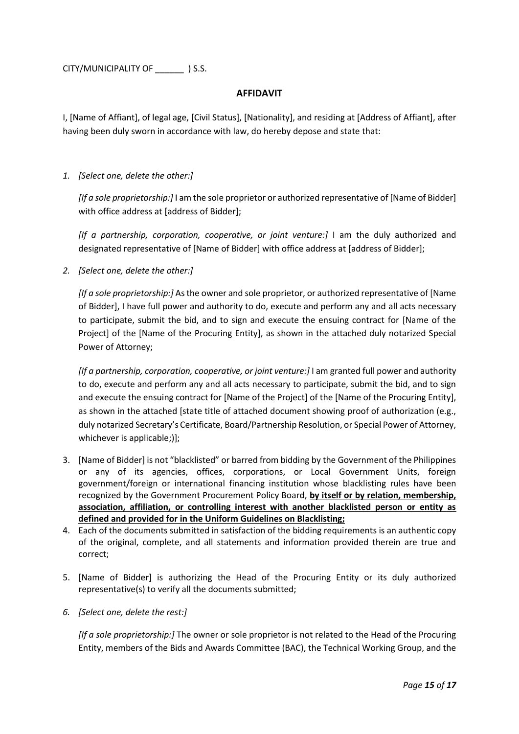CITY/MUNICIPALITY OF \_\_\_\_\_\_ ) S.S.

### **AFFIDAVIT**

I, [Name of Affiant], of legal age, [Civil Status], [Nationality], and residing at [Address of Affiant], after having been duly sworn in accordance with law, do hereby depose and state that:

*1. [Select one, delete the other:]*

*[If a sole proprietorship:]* I am the sole proprietor or authorized representative of [Name of Bidder] with office address at [address of Bidder];

[If a partnership, corporation, cooperative, or joint venture:] I am the duly authorized and designated representative of [Name of Bidder] with office address at [address of Bidder];

*2. [Select one, delete the other:]*

*[If a sole proprietorship:]* As the owner and sole proprietor, or authorized representative of [Name of Bidder], I have full power and authority to do, execute and perform any and all acts necessary to participate, submit the bid, and to sign and execute the ensuing contract for [Name of the Project] of the [Name of the Procuring Entity], as shown in the attached duly notarized Special Power of Attorney;

*[If a partnership, corporation, cooperative, or joint venture:]* I am granted full power and authority to do, execute and perform any and all acts necessary to participate, submit the bid, and to sign and execute the ensuing contract for [Name of the Project] of the [Name of the Procuring Entity], as shown in the attached [state title of attached document showing proof of authorization (e.g., duly notarized Secretary's Certificate, Board/Partnership Resolution, or Special Power of Attorney, whichever is applicable;)];

- 3. [Name of Bidder] is not "blacklisted" or barred from bidding by the Government of the Philippines or any of its agencies, offices, corporations, or Local Government Units, foreign government/foreign or international financing institution whose blacklisting rules have been recognized by the Government Procurement Policy Board, **by itself or by relation, membership, association, affiliation, or controlling interest with another blacklisted person or entity as defined and provided for in the Uniform Guidelines on Blacklisting;**
- 4. Each of the documents submitted in satisfaction of the bidding requirements is an authentic copy of the original, complete, and all statements and information provided therein are true and correct;
- 5. [Name of Bidder] is authorizing the Head of the Procuring Entity or its duly authorized representative(s) to verify all the documents submitted;
- *6. [Select one, delete the rest:]*

*[If a sole proprietorship:]* The owner or sole proprietor is not related to the Head of the Procuring Entity, members of the Bids and Awards Committee (BAC), the Technical Working Group, and the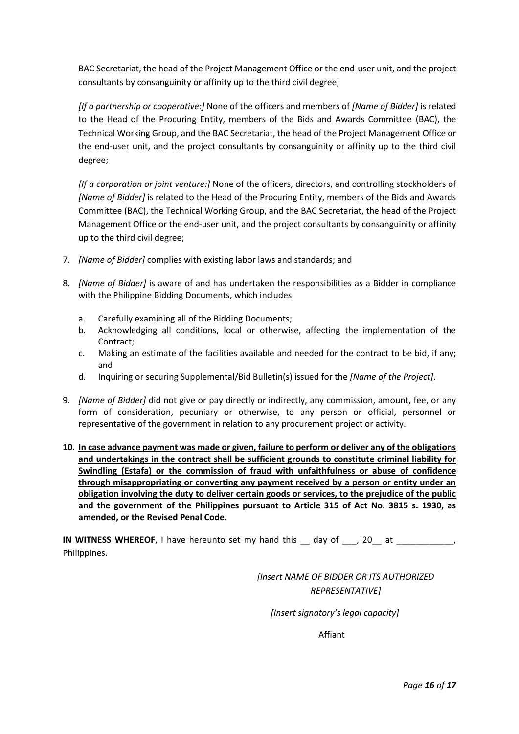BAC Secretariat, the head of the Project Management Office or the end-user unit, and the project consultants by consanguinity or affinity up to the third civil degree;

*[If a partnership or cooperative:]* None of the officers and members of *[Name of Bidder]* is related to the Head of the Procuring Entity, members of the Bids and Awards Committee (BAC), the Technical Working Group, and the BAC Secretariat, the head of the Project Management Office or the end-user unit, and the project consultants by consanguinity or affinity up to the third civil degree;

*[If a corporation or joint venture:]* None of the officers, directors, and controlling stockholders of *[Name of Bidder]* is related to the Head of the Procuring Entity, members of the Bids and Awards Committee (BAC), the Technical Working Group, and the BAC Secretariat, the head of the Project Management Office or the end-user unit, and the project consultants by consanguinity or affinity up to the third civil degree;

- 7. *[Name of Bidder]* complies with existing labor laws and standards; and
- 8. *[Name of Bidder]* is aware of and has undertaken the responsibilities as a Bidder in compliance with the Philippine Bidding Documents, which includes:
	- a. Carefully examining all of the Bidding Documents;
	- b. Acknowledging all conditions, local or otherwise, affecting the implementation of the Contract;
	- c. Making an estimate of the facilities available and needed for the contract to be bid, if any; and
	- d. Inquiring or securing Supplemental/Bid Bulletin(s) issued for the *[Name of the Project]*.
- 9. *[Name of Bidder]* did not give or pay directly or indirectly, any commission, amount, fee, or any form of consideration, pecuniary or otherwise, to any person or official, personnel or representative of the government in relation to any procurement project or activity.
- **10. In case advance payment was made or given, failure to perform or deliver any of the obligations and undertakings in the contract shall be sufficient grounds to constitute criminal liability for Swindling (Estafa) or the commission of fraud with unfaithfulness or abuse of confidence through misappropriating or converting any payment received by a person or entity under an obligation involving the duty to deliver certain goods or services, to the prejudice of the public and the government of the Philippines pursuant to Article 315 of Act No. 3815 s. 1930, as amended, or the Revised Penal Code.**

**IN WITNESS WHEREOF**, I have hereunto set my hand this day of , 20 at Philippines.

> *[Insert NAME OF BIDDER OR ITS AUTHORIZED REPRESENTATIVE]*

*[Insert signatory's legal capacity]*

Affiant